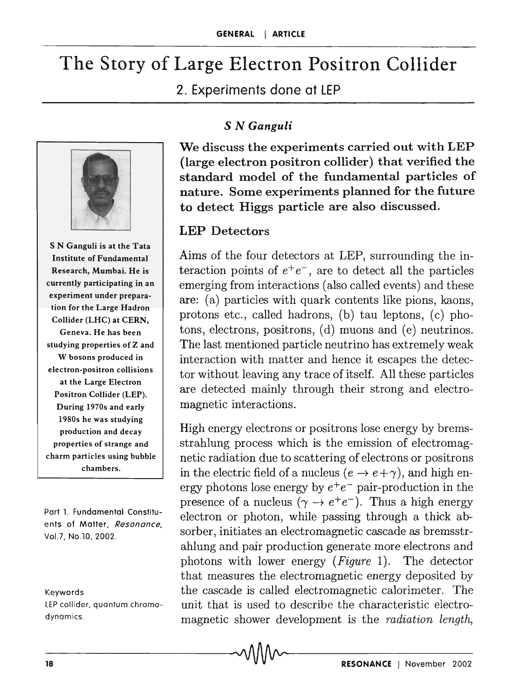# The Story of Large Electron Positron Collider

2. Experiments done at LEP



S N Ganguli is at the Tata Institute of Fundamental Research, Mumbai. He is currently participating in an experiment under preparation for the Large Hadron Collider (LHC) at CERN, Geneva. He has been studying properties of Z and W bosons produced in electron-positron collisions at the Large Electron Positron Collider (LEP). During 1970s and early 1980s he was studying production and decay properties of strange and charm particles using bubble chambers.

Part 1. Fundamental Constituents of Matter, *Resonance,*  vol.7, NO.10, 2002 .

Keywords

LEP collider, quantum chromodynamics.

### S N *Ganguli*

We discuss the experiments carried out with LEP (large electron positron collider) that verified the standard model of the fundamental particles of nature. Some experiments planned for the future to detect Higgs particle are also discussed.

### LEP Detectors

Aims of the four detectors at LEP, surrounding the interaction points of  $e^+e^-$ , are to detect all the particles emerging from interactions (also called events) and these are: (a) particles with quark contents like pions, kaons, protons etc., called hadrons, (b) tau leptons, (c) photons, electrons, positrons, (d) muons and (e) neutrinos. The last mentioned particle neutrino has extremely weak interaction with matter and hence it escapes the detector without leaving any trace of itself. All these particles are detected mainly through their strong and electromagnetic interactions.

High energy electrons or positrons lose energy by bremsstrahlung process which is the emission of electromagnetic radiation due to scattering of electrons or positrons in the electric field of a nucleus ( $e \rightarrow e + \gamma$ ), and high energy photons lose energy by  $e^+e^-$  pair-production in the presence of a nucleus  $(\gamma \to e^+e^-)$ . Thus a high energy electron or photon, while passing through a thick absorber, initiates an electromagnetic cascade as bremsstrahlung and pair production generate more electrons and photons with lower energy *(Figure* 1). The detector that measures the electromagnetic energy deposited by the cascade is called electromagnetic calorimeter. The unit that is used to describe the characteristic electromagnetic shower development is the *radiation length,*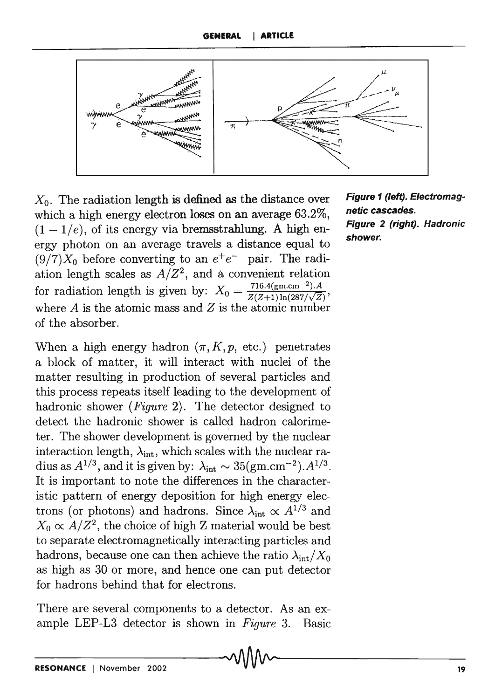

*Xo.* The radiation length is defined as the distance over which a high energy electron loses on an average 63.2%,  $(1 - 1/e)$ , of its energy via bremsstrahlung. A high energy photon on an average travels a distance equal to  $(9/7)X_0$  before converting to an  $e^+e^-$  pair. The radiation length scales as  $A/Z^2$ , and a convenient relation  $X_0 = \frac{716.4(\text{gm} \cdot \text{cm}^{-2})}{Z(Z+1)\ln(287/\sqrt{Z})},$ <br>for radiation length is given by:  $X_0 = \frac{716.4(\text{gm} \cdot \text{cm}^{-2})}{Z(Z+1)\ln(287/\sqrt{Z})},$ where  $A$  is the atomic mass and  $Z$  is the atomic number of the absorber.

When a high energy hadron  $(\pi, K, p, \text{ etc.})$  penetrates a block of matter, it will interact with nuclei of the matter resulting in production of several particles and this process repeats itself leading to the development of hadronic shower *(Figure* 2). The detector designed to detect the hadronic shower is called hadron calorimeter. The shower development is governed by the nuclear interaction length,  $\lambda_{\text{int}}$ , which scales with the nuclear radius as  $A^{1/3}$ , and it is given by:  $\lambda_{\rm int} \sim 35(\rm{gm.cm^{-2}}) A^{1/3}$ . It is important to note the differences in the characteristic pattern of energy deposition for high energy electrons (or photons) and hadrons. Since  $\lambda_{int} \propto A^{1/3}$  and  $X_0 \propto A/Z^2$ , the choice of high Z material would be best to separate electromagnetically interacting particles and hadrons, because one can then achieve the ratio  $\lambda_{\rm int}/X_0$ as high as 30 or more, and hence one can put detector for hadrons behind that for electrons.

There are several components to a detector. As an example LEP-L3 detector is shown in *Figure* 3. Basic Figure 1 (left). Electromagnetic cascades. Figure 2 (right). Hadronic shower.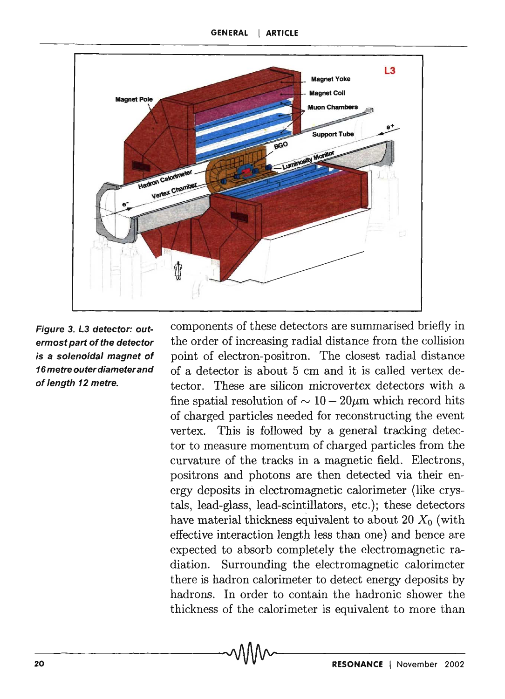

Figure 3. L3 detector: outermost part of the detector is a solenoidal magnet of 16 metre outer diameter and of length 12 metre.

components of these detectors are summarised briefly in the order of increasing radial distance from the collision point of electron-positron. The closest radial distance of a detector is about 5 cm and it is called vertex detector. These are silicon microvertex detectors with a fine spatial resolution of  $\sim 10 - 20 \mu m$  which record hits of charged particles needed for reconstructing the event vertex. This is followed by a general tracking detector to measure momentum of charged particles from the curvature of the tracks in a magnetic field. Electrons, positrons and photons are then detected via their energy deposits in electromagnetic calorimeter (like crystals, lead-glass, lead-scintillators, etc.); these detectors have material thickness equivalent to about 20  $X_0$  (with effective interaction length less than one) and hence are expected to absorb completely the electromagnetic radiation. Surrounding the electromagnetic calorimeter there is hadron calorimeter to detect energy deposits by hadrons. In order to contain the hadronic shower the thickness of the calorimeter is equivalent to more than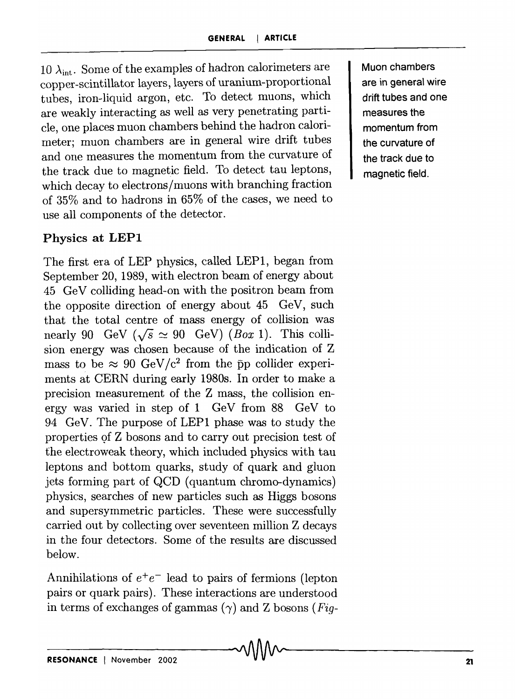10  $\lambda_{\text{int}}$ . Some of the examples of hadron calorimeters are copper-scintillator layers, layers of uranium-proportional tubes, iron-liquid argon, etc. To detect muons, which are weakly interacting as well as very penetrating particle, one places muon chambers behind the hadron calorimeter; muon chambers are in general wire drift tubes and one measures the momentum from the curvature of the track due to magnetic field. To detect tau leptons, which decay to electrons/muons with branching fraction of 35% and to hadrons in 65% of the cases, we need to use all components of the detector.

# Physics at LEPI

The first era of LEP physics, called LEPl, began from September 20,1989, with electron beam of energy about 45 GeV colliding head-on with the positron beam from the opposite direction of energy about 45 GeV, such that the total centre of mass energy of collision was nearly 90 GeV  $(\sqrt{s} \approx 90 \text{ GeV})$  *(Box 1)*. This collision energy was chosen because of the indication of Z mass to be  $\approx 90 \text{ GeV}/c^2$  from the pp collider experiments at CERN during early 1980s. In order to make a precision measurement of the Z mass, the collision energy was varied in step of  $1$  GeV from 88 GeV to 94 GeV. The purpose of LEPI phase was to study the properties of Z bosons and to carry out precision test of the electroweak theory, which included physics with tau leptons and bottom quarks, study of quark and gluon jets forming part of QCD (quantum chromo-dynamics) physics, searches of new particles such as Higgs bosons and supersymmetric particles. These were successfully carried out by collecting over seventeen million Z decays in the four detectors. Some of the results are discussed below.

Annihilations of *e+e-* lead to pairs of fermions (lepton pairs or quark pairs). These interactions are understood in terms of exchanges of gammas  $(\gamma)$  and Z bosons *(Fig-* Muon chambers are in general wire drift tubes and one measures the momentum from the curvature of the track due to magnetic field.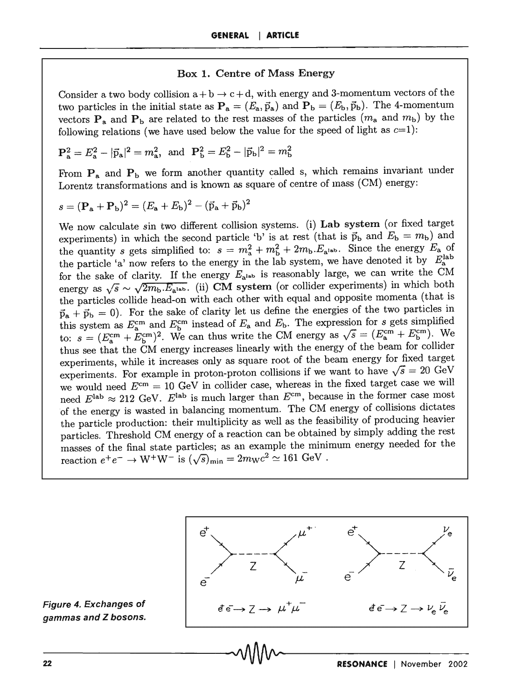#### Box 1. Centre of Mass Energy

Consider a two body collision  $a + b \rightarrow c + d$ , with energy and 3-momentum vectors of the two particles in the initial state as  $P_a = (E_a, \vec{p}_a)$  and  $P_b = (E_b, \vec{p}_b)$ . The 4-momentum vectors  $P_a$  and  $P_b$  are related to the rest masses of the particles  $(m_a$  and  $m_b)$  by the following relations (we have used below the value for the speed of light as  $c=1$ ):

$$
\mathbf{P}_a^2 = E_a^2 - |\vec{p}_a|^2 = m_a^2, \text{ and } \mathbf{P}_b^2 = E_b^2 - |\vec{p}_b|^2 = m_b^2
$$

From  $P_a$  and  $P_b$  we form another quantity called s, which remains invariant under Lorentz transformations and is known as square of centre of mass *(C11)* energy:

$$
s = (\mathbf{P}_a + \mathbf{P}_b)^2 = (E_a + E_b)^2 - (\vec{p}_a + \vec{p}_b)^2
$$

We now calculate sin two different collision systems. (i) Lab system (or fixed target experiments) in which the second particle 'b' is at rest (that is  $\vec{p}_b$  and  $E_b = m_b$ ) and the quantity s gets simplified to:  $s = m_a^2 + m_b^2 + 2m_b \cdot E_{a^{lab}}$ . Since the energy  $E_a$  of the particle 'a' now refers to the energy in the lab system, we have denoted it by  $E_{a}^{\text{lab}}$ for the sake of clarity. If the energy  $E_{a^{lab}}$  is reasonably large, we can write the CM energy as  $\sqrt{s} \sim \sqrt{2m_b \cdot E_{\rm abs}}$ . (ii) CM system (or collider experiments) in which both the particles collide head-on with each other with equal and opposite momenta (that is  $\vec{p}_a + \vec{p}_b = 0$ . For the sake of clarity let us define the energies of the two particles in this system as  $E_{\rm c}^{\rm cm}$  and  $E_{\rm b}^{\rm cm}$  instead of  $E_{\rm a}$  and  $E_{\rm b}$ . The expression for *s* gets simplified to:  $s = (E_s^{\text{cm}} + E_s^{\text{cm}})^2$ . We can thus write the CM energy as  $\sqrt{s} = (E_s^{\text{cm}} + E_b^{\text{cm}})$ . We thus see that the CM energy increases linearly with the energy of the beam for collider experiments, while it increases only as square root of the beam energy for fixed target experiments. For example in proton-proton collisions if we want to have  $\sqrt{s} = 20 \text{ GeV}$ we would need  $E<sup>cm</sup> = 10$  GeV in collider case, whereas in the fixed target case we will need  $E^{\text{lab}} \approx 212 \text{ GeV}$ .  $E^{\text{lab}}$  is much larger than  $E^{\text{cm}}$ , because in the former case most of the energy is wasted in balancing momentum. The CM energy of collisions dictates the particle production: their multiplicity as well as the feasibility of producing heavier particles. Threshold CM energy of a reaction can be obtained by simply adding the rest masses of the final state particles; as an example the minimum energy needed for the reaction  $e^+e^-\to \mathrm{W}^+\mathrm{W}^-$  is  $(\sqrt{s})_{\rm min}=2m_{\rm W}c^2\simeq 161~\mathrm{GeV}$  .



Figure 4. Exchanges of gammas and Z bosons.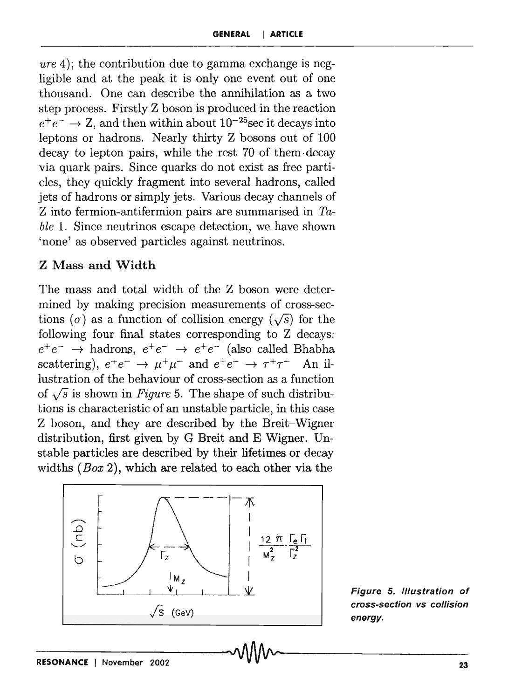*ure* 4); the contribution due to gamma exchange is negligible and at the peak it is only one event out of one thousand. One can describe the annihilation as a two step process. Firstly Z boson is produced in the reaction  $e^+e^- \rightarrow Z$ , and then within about  $10^{-25}$ sec it decays into leptons or hadrons. Nearly thirty Z bosons out of 100 decay to lepton pairs, while the rest 70 of them decay via quark pairs. Since quarks do not exist as free particles, they quickly fragment into several hadrons, called jets of hadrons or simply jets. Various decay channels of Z into fermion-antifermion pairs are summarised in *Table* 1. Since neutrinos escape detection, we have shown 'none' as observed particles against neutrinos.

### Z Mass and Width

The mass and total width of the Z boson were determined by making precision measurements of cross-sections ( $\sigma$ ) as a function of collision energy ( $\sqrt{s}$ ) for the following four final states corresponding to Z decays:  $e^+e^- \rightarrow$  hadrons,  $e^+e^- \rightarrow e^+e^-$  (also called Bhabha scattering),  $e^+e^- \rightarrow \mu^+\mu^-$  and  $e^+e^- \rightarrow \tau^+\tau^-$  An illustration of the behaviour of cross-section as a function of  $\sqrt{s}$  is shown in *Figure 5*. The shape of such distributions is characteristic of an unstable particle, in this case Z boson, and they are described by the Breit-Wigner distribution, first given by  $G$  Breit and  $E$  Wigner. Unstable particles are described by their lifetimes or decay widths *(Box* 2), which are related to each other via the



Figure 5. Illustration of cross-section vs collision energy.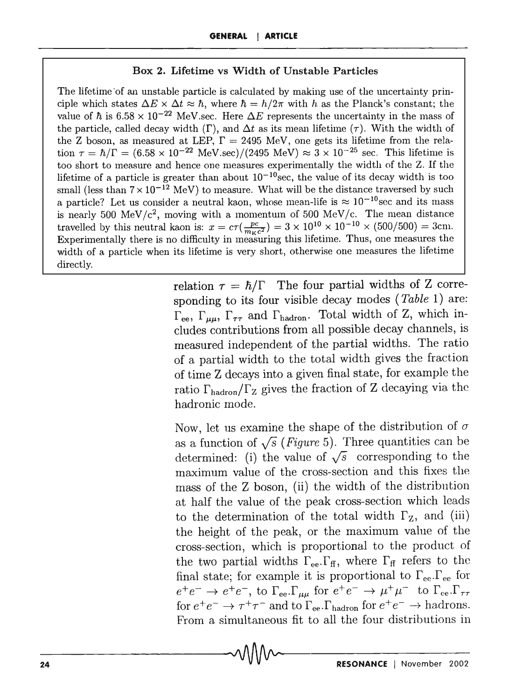### Box 2. Lifetime vs Width of Unstable Particles

The lifetime of an unstable particle is calculated by making use of the uncertainty principle which states  $\Delta E \times \Delta t \approx \hbar$ , where  $\hbar = h/2\pi$  with h as the Planck's constant; the value of  $\hbar$  is  $6.58 \times 10^{-22}$  MeV.sec. Here  $\Delta E$  represents the uncertainty in the mass of the particle, called decay width  $(\Gamma)$ , and  $\Delta t$  as its mean lifetime  $(\tau)$ . With the width of the Z boson, as measured at LEP,  $\Gamma = 2495$  MeV, one gets its lifetime from the relation  $\tau = \hbar/\Gamma = (6.58 \times 10^{-22} \text{ MeV} \cdot \text{sec})/(2495 \text{ MeV}) \approx 3 \times 10^{-25} \text{ sec}$ . This lifetime is too short to measure and hence one measures experimentally the width of the Z. If the lifetime of a particle is greater than about  $10^{-10}$ sec, the value of its decay width is too small (less than  $7 \times 10^{-12}$  MeV) to measure. What will be the distance traversed by such a particle? Let us consider a neutral kaon, whose mean-life is  $\approx 10^{-10}$  sec and its mass is nearly 500 MeV/ $c^2$ , moving with a momentum of 500 MeV/c. The mean distance travelled by this neutral kaon is:  $x = c\tau(\frac{pc}{m_Kc^2}) = 3 \times 10^{10} \times 10^{-10} \times (500/500) = 3$ cm. Experimentally there is no difficulty in measuring this lifetime. Thus, one measures the width of a particle when its lifetime is very short, otherwise one measures the lifetime directly.

> relation  $\tau = \hbar/\Gamma$  The four partial widths of Z corresponding to its four visible decay modes *(Table* 1) are:  $\Gamma_{ee}$ ,  $\Gamma_{\mu\mu}$ ,  $\Gamma_{\tau\tau}$  and  $\Gamma_{\text{hadron}}$ . Total width of Z, which includes contributions from all possible decay channels, is measured independent. of the partial widths. The ratio of a partial width to the total width gives the fraction of time Z decays into a given final state, for example the ratio  $\Gamma_{\text{hadron}}/\Gamma_{\text{Z}}$  gives the fraction of Z decaying via the hadronic mode.

> Now, let us examine the shape of the distribution of  $\sigma$ as a function of  $\sqrt{s}$  *(Figure 5)*. Three quantities can be determined: (i) the value of  $\sqrt{s}$  corresponding to the maximum value of the cross-section and this fixes the mass of the Z boson, (ii) the width of the distribution at half the value of the peak cross-section which leads to the determination of the total width  $\Gamma_Z$ , and (iii) the height of the peak, or the maximum value of the cross-section, which is proportional to the product of the two partial widths  $\Gamma_{ee} \Gamma_{ff}$ , where  $\Gamma_{ff}$  refers to the final state; for example it is proportional to  $\Gamma_{ee}$ .  $\Gamma_{ee}$  for  $e^+e^-\rightarrow e^+e^-$ , to  $\Gamma_{\rm ee}.\Gamma_{\mu\mu}$  for  $e^+e^-\rightarrow \mu^+\mu^-$  to  $\Gamma_{\rm ee}.\Gamma_{\tau\tau}$ for  $e^+e^- \rightarrow \tau^+\tau^-$  and to  $\Gamma_{ee}$ .  $\Gamma_{hadron}$  for  $e^+e^- \rightarrow$  hadrons. From a simultaneous fit to all the four distributions in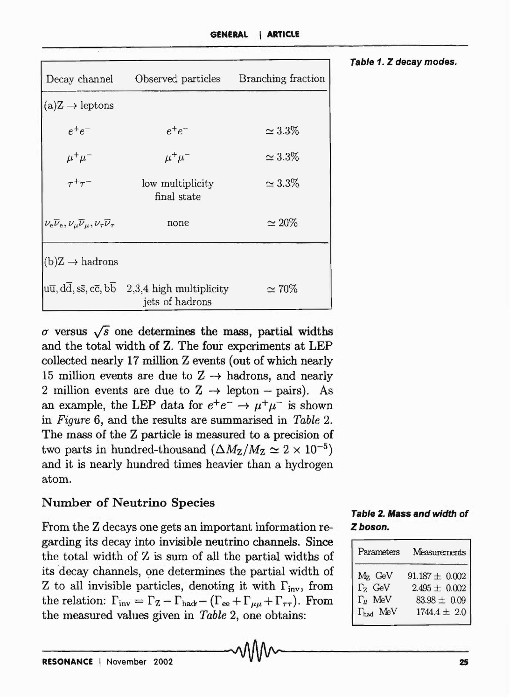| Decay channel                                                                      | Observed particles                                                                        | Branching fraction |
|------------------------------------------------------------------------------------|-------------------------------------------------------------------------------------------|--------------------|
| $(a)Z \rightarrow leptons$                                                         |                                                                                           |                    |
| $e^+e^-$                                                                           | $e^+e^-$                                                                                  | $\simeq 3.3\%$     |
| $\mu^+\mu^-$                                                                       | $\mu^+\mu^-$                                                                              | $\simeq 3.3\%$     |
| $\tau^+\tau^-$                                                                     | low multiplicity<br>final state                                                           | $\simeq 3.3\%$     |
| $\nu_e \overline{\nu}_e, \nu_\mu \overline{\nu}_\mu, \nu_\tau \overline{\nu}_\tau$ | none                                                                                      | $\simeq 20\%$      |
| $(b)Z \rightarrow hadrons$                                                         |                                                                                           |                    |
|                                                                                    | $u\overline{u}$ , $d\overline{d}$ , ss, cc, bb 2,3,4 high multiplicity<br>jets of hadrons | $\simeq 70\%$      |

 $\sigma$  versus  $\sqrt{s}$  one determines the mass, partial widths and the total width of Z. The four experiments at LEP collected nearly 17 million Z events (out of which nearly 15 million events are due to  $Z \rightarrow$  hadrons, and nearly 2 million events are due to  $Z \rightarrow$  lepton – pairs). As an example, the LEP data for  $e^+e^- \rightarrow \mu^+\mu^-$  is shown in *Figure* 6, and the results are summarised in *Table 2.*  The mass of the Z particle is measured to a precision of two parts in hundred-thousand  $(\Delta M_Z/M_Z \simeq 2 \times 10^{-5})$ and it is nearly hundred times heavier than a hydrogen atom.

### Number of Neutrino Species

From the Z decays one gets an important information regarding its decay into invisible neutrino channels. Since the total width of Z is sum of all the partial widths of its decay channels, one determines the partial width of Z to all invisible particles, denoting it with  $\Gamma_{\text{inv}}$ , from the relation:  $\Gamma_{\text{inv}} = \Gamma_Z - \Gamma_{\text{had}} - (\Gamma_{ee} + \Gamma_{\mu\mu} + \Gamma_{\tau\tau})$ . From the measured values given in *Table* 2, one obtains:

Table 2. Mass and width of Zboson.

| Parameters                                                                         | Measurements                                                                    |  |
|------------------------------------------------------------------------------------|---------------------------------------------------------------------------------|--|
| $\rm M_Z$ GeV $\rm \Gamma_Z$ GeV<br>$\Gamma_{ll}$ MeV<br>$\Gamma_{\text{had}}$ MeV | $91.187 \pm 0.002$<br>$2.495 \pm 0.002$<br>$83.98 \pm 0.09$<br>$1744.4 \pm 2.0$ |  |

Table 1. Z decay modes.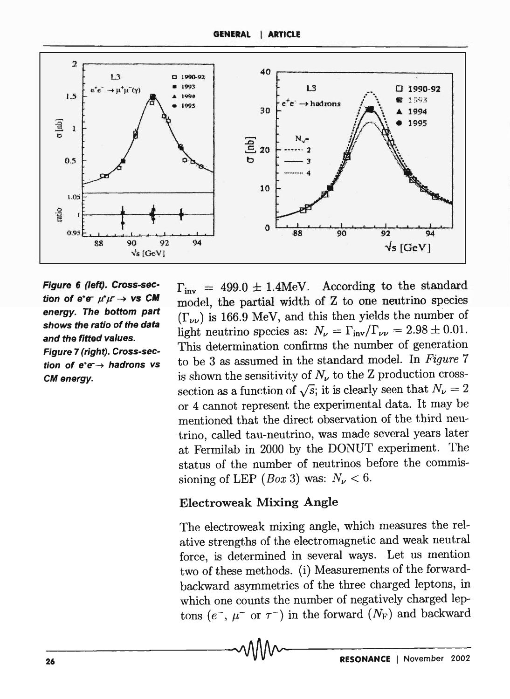



Figure 6 (left). Cross-section of e<sup>+g-</sup>  $\mu^+\mu^-\rightarrow$  vs CM energy. The bottom part shows the ratio of the data and the fitted values. Figure 7 (right). Cross-section of  $e^+e^-$  hadrons vs CM energy.

 $\Gamma_{inv}$  = 499.0 ± 1.4MeV. According to the standard model, the partial width of Z to one neutrino species  $(\Gamma_{\nu\nu})$  is 166.9 MeV, and this then yields the number of light neutrino species as:  $N_{\nu} = \Gamma_{\text{inv}}/\Gamma_{\nu\nu} = 2.98 \pm 0.01$ . This determination confirms the number of generation to be 3 as assumed in the standard model. In *Figure 7*  is shown the sensitivity of  $N_{\nu}$  to the Z production crosssection as a function of  $\sqrt{s}$ ; it is clearly seen that  $N_{\nu} = 2$ or 4 cannot represent the experimental data. It may be mentioned that the direct observation of the third neutrino, called tau-neutrino, was made several years later at Fermilab in 2000 by the DONUT experiment. The status of the number of neutrinos before the commissioning of LEP *(Box 3)* was:  $N_{\nu} < 6$ .

### Electroweak Mixing Angle

The electroweak mixing angle, which measures the relative strengths of the electromagnetic and weak neutral force, is determined in several ways. Let us mention two of these methods. (i) Measurements of the forwardbackward asymmetries of the three charged leptons, in which one counts the number of negatively charged leptons  $(e^-, \mu^- \text{ or } \tau^-)$  in the forward  $(N_F)$  and backward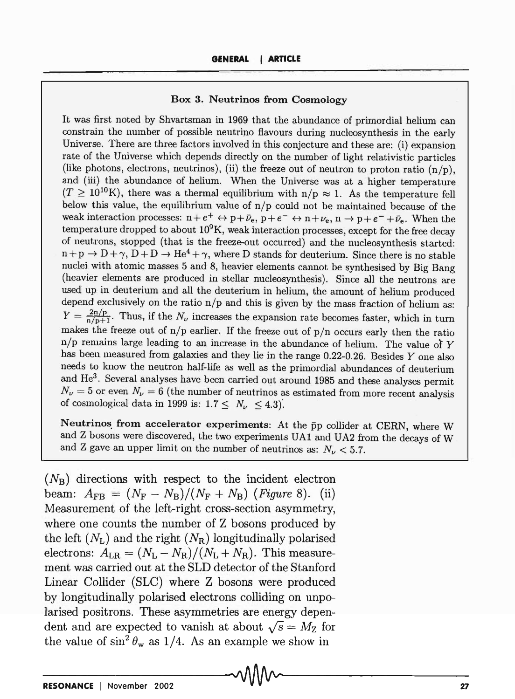#### Box 3. Neutrinos from Cosmology

It was first noted by Shvartsman in 1969 that the abundance of primordial helium can constrain the number of possible neutrino flavours during nucleosynthesis in the early Universe. There are three factors involved in this conjecture and these are: (i) expansion rate of the Universe which depends directly on the number of light relativistic particles (like photons, electrons, neutrinos), (ii) the freeze out of neutron to proton ratio  $(n/p)$ , and (iii) the abundance of helium. When the Universe was at a higher temperature  $(T \geq 10^{10}$ K), there was a thermal equilibrium with  $n/p \approx 1$ . As the temperature fell below this value, the equilibrium value of *nip* could not be maintained because of the weak interaction processes:  $n + e^+ \leftrightarrow p + \bar{\nu}_e$ ,  $p + e^- \leftrightarrow n + \nu_e$ ,  $n \to p + e^- + \bar{\nu}_e$ . When the temperature dropped to about 10*9*K, weak interaction processes, except for the free decay of neutrons, stopped (that is the freeze-out occurred) and the nucleosynthesis started:  $n + p \rightarrow D + \gamma$ ,  $D + D \rightarrow He^4 + \gamma$ , where D stands for deuterium. Since there is no stable nuclei with atomic masses 5 and 8, heavier elements cannot be synthesised by Big Bang (heavier elements are produced in stellar nucleosynthesis). Since all the neutrons are used up in deuterium and all the deuterium in helium, the amount of helium produced depend exclusively on the ratio *n/p* and this is given by the mass fraction of helium as:  $Y = \frac{2n}{n/n+1}$ . Thus, if the  $N_{\nu}$  increases the expansion rate becomes faster, which in turn makes the freeze out of *n/p* earlier. If the freeze out of *p/n* occurs early then the ratio *n/p* remains large leading to an increase in the abundance of helium. The value of Y has been measured from galaxies and they lie in the range 0.22-0.26. Besides Y one also needs to know the neutron half-life as well as the primordial abundances of deuterium and He<sup>3</sup>. Several analyses have been carried out around 1985 and these analyses permit  $N_{\nu} = 5$  or even  $N_{\nu} = 6$  (the number of neutrinos as estimated from more recent analysis of cosmological data in 1999 is:  $1.7 \leq N_{\nu} \leq 4.3$ ).

Neutrinos from accelerator experiments: At the pp collider at CERN, where W and Z bosons were discovered, the two experiments UA1 and UA2 from the decays of W and Z gave an upper limit on the number of neutrinos as:  $N_{\nu}$  < 5.7.

 $(N_B)$  directions with respect to the incident electron beam:  $A_{FB} = (N_F - N_B)/(N_F + N_B)$  (Figure 8). (ii) Measurement of the left-right cross-section asymmetry, where one counts the number of Z bosons produced by the left  $(N_L)$  and the right  $(N_R)$  longitudinally polarised electrons:  $A_{LR} = (N_L - N_R)/(N_L + N_R)$ . This measurement was carried out at the SLD detector of the Stanford Linear Collider (SLC) where Z bosons were produced by longitudinally polarised electrons colliding on unpolarised positrons. These asymmetries are energy dependent and are expected to vanish at about  $\sqrt{s} = M_{\rm Z}$  for the value of  $\sin^2 \theta_w$  as 1/4. As an example we show in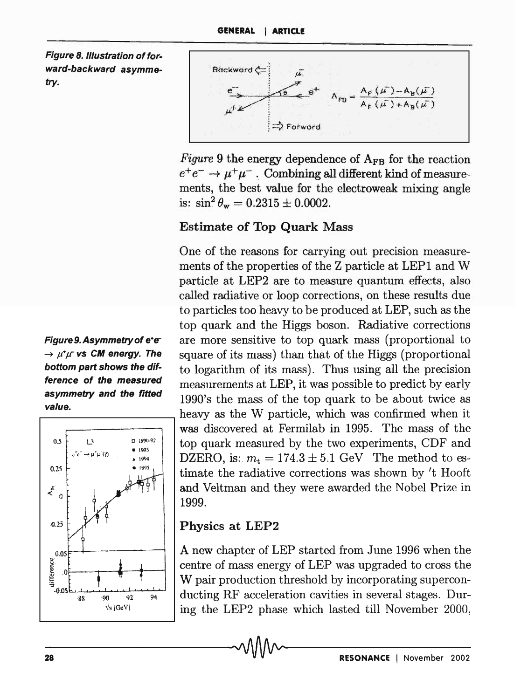Figure 8. Illustration of forward-backward asymmetry.





*Figure* 9 the energy dependence of  $A_{FR}$  for the reaction  $e^+e^- \rightarrow \mu^+\mu^-$ . Combining all different kind of measurements, the best value for the electroweak mixing angle is:  $\sin^2 \theta_w = 0.2315 \pm 0.0002$ .

### Estimate of Top Quark Mass

One of the reasons for carrying out precision measurements of the properties of the Z particle at LEP1 and W particle at LEP2 are to measure quantum effects, also called radiative or loop corrections, on these results due to particles too heavy to be produced at LEP, such as the top quark and the Higgs boson. Radiative corrections Figure 9. Asymmetry of ete are more sensitive to top quark mass (proportional to  $\rightarrow \mu^*\mu$  vs CM energy. The square of its mass) than that of the Higgs (proportional bottom part shows the dif- $\frac{1}{10}$  to logarithm of its mass). Thus using all the precision ference of the measured measurements at LEP, it was possible to predict by early asymmetry and the fitted  $1000$  is the measure of the ten measure in the short twise as asymmetry and the fitted  $1990$ 's the mass of the top quark to be about twice as heavy as the W particle, which was confirmed when it was discovered at Fermilab in 1995. The mass of the top quark measured by the two experiments, CDF and DZERO, is:  $m_t = 174.3 \pm 5.1$  GeV The method to estimate the radiative corrections was shown by *'t* Hooft and Veltman and they were awarded the Nobel Prize in 1999.

### Physics at LEP2

A new chapter of LEP started from June 1996 when the centre of mass energy of LEP was upgraded to cross the W pair production threshold by incorporating superconducting RF acceleration cavities in several stages. During the LEP2 phase which lasted till November 2000,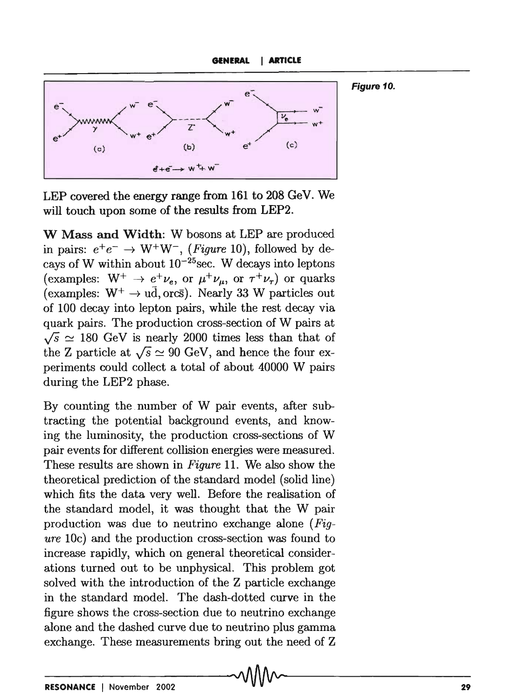GENERAL | ARTICLE

Figure 10.



LEP covered the energy range from 161 to 208 GeV. We will touch upon some of the results from LEP2.

W Mass and Width: W bosons at LEP are produced in pairs:  $e^+e^- \rightarrow W^+W^-$ , *(Figure 10)*, followed by decays of W within about  $10^{-25}$  sec. W decays into leptons (examples:  $W^+ \rightarrow e^+ \nu_e$ , or  $\mu^+ \nu_\mu$ , or  $\tau^+ \nu_\tau$ ) or quarks (examples:  $W^+ \rightarrow u\bar{d}$ , orcs). Nearly 33 W particles out of 100 decay into lepton pairs, while the rest decay via quark pairs. The production cross-section of W pairs at  $\sqrt{s} \simeq 180$  GeV is nearly 2000 times less than that of the Z particle at  $\sqrt{s} \simeq 90$  GeV, and hence the four experiments could collect a total of about 40000 W pairs during the LEP2 phase.

By counting the number of W pair events, after subtracting the potential background events, and knowing the luminosity, the production cross-sections of W pair events for different collision energies were measured. These results are shown in *Figure* 11. We also show the theoretical prediction of the standard model (solid line) which fits the data very well. Before the realisation of the standard model, it was thought that the W pair production was due to neutrino exchange alone *(Figure* IOc) and the production cross-section was found to increase rapidly, which on general theoretical considerations turned out to be unphysical. This problem got solved with the introduction of the Z particle exchange in the standard model. The dash-dotted curve in the figure shows the cross-section due to neutrino exchange alone and the dashed curve due to neutrino plus gamma exchange. These measurements bring out the need of Z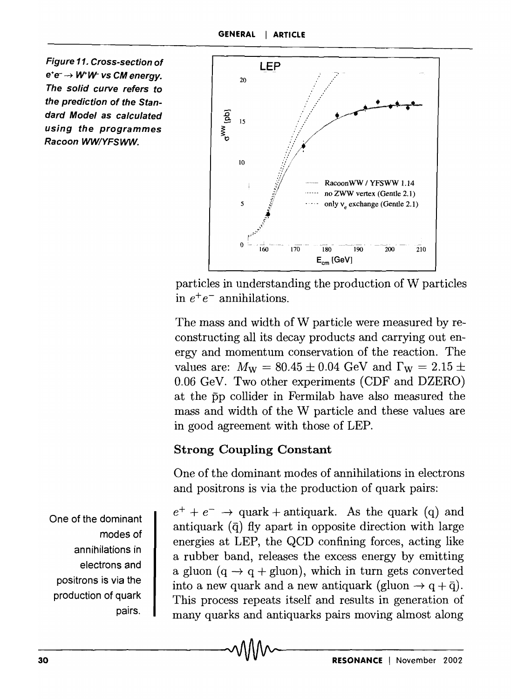Figure 11. Cross-section of  $e^+e^- \rightarrow W^+W^-$  vs CM energy. The solid curve refers to the prediction of the Standard Model as calculated using the programmes Racoon WW/YFSWW.



particles in understanding the production of W particles in *e+ e-* annihilations.

The mass and width of W particle were measured by reconstructing all its decay products and carrying out energy and momentum conservation of the reaction. The values are:  $M_W = 80.45 \pm 0.04$  GeV and  $\Gamma_W = 2.15 \pm 1.04$ 0.06 GeV. Two other experiments (CDF and DZERO) at the pp collider in Fermilab have also measured the mass and width of the W particle and these values are in good agreement with those of LEP.

## Strong Coupling Constant

One of the dominant modes of annihilations in electrons and positrons is via the production of quark pairs:

 $e^+ + e^- \rightarrow$  quark + antiquark. As the quark (q) and antiquark  $\left(\bar{q}\right)$  fly apart in opposite direction with large energies at LEP, the QCD confining forces, acting like a rubber band, releases the excess energy by emitting a gluon  $(q \rightarrow q + g \text{luon})$ , which in turn gets converted into a new quark and a new antiquark (gluon  $\rightarrow$  q +  $\bar{q}$ ). This process repeats itself and results in generation of many quarks and antiquarks pairs moving almost along

One of the dominant modes of annihilations in electrons and positrons is via the production of quark pairs.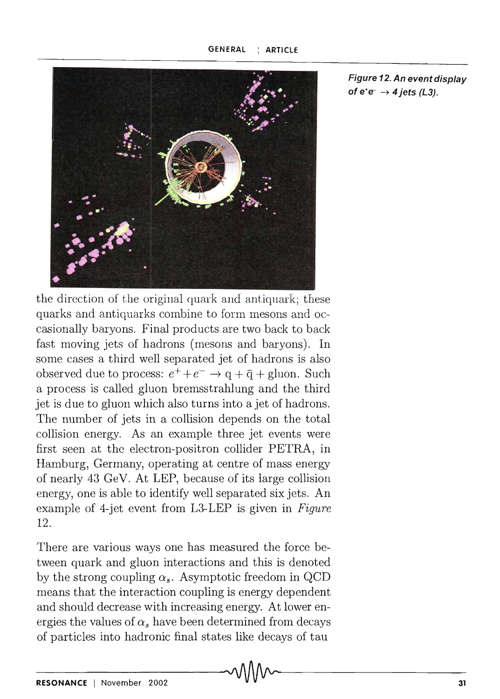

the direction of the original quark and antiquark; these quarks and antiquarks combine to form mesons and occasionally baryons. Final products are two back to back fast moving jets of hadrons (mesons and baryons). In some cases a third well separated jet of hadrons is also observed due to process:  $e^+ + e^- \rightarrow q + \bar{q} +$  gluon. Such a process is called gluon bremsstrahlung and the third jet is due to gluon which also turns into a jet of hadrons. The number of jets in a collision depends on the total collision energy. As an example three jet events were first seen at the electron-positron collider PETRA, in Hamburg, Germany, operating at centre of mass energy of nearly 43 GeV. At LEP, because of its large collision energy, one is able to identify well separated six jets. An example of 4-jet event from L3-LEP is given in *Figure*  12.

There are various ways one has measured the force between quark and gluon interactions and this is denoted by the strong coupling  $\alpha_s$ . Asymptotic freedom in QCD means that the interaction coupling is energy dependent and should decrease with increasing energy. At lower energies the values of  $\alpha_s$  have been determined from decays of particles into hadronic final states like decays of tau

-RE-S-O-N-A-N-C-E-I-N-o-ve-m-b-e-r-2-0-02---------~-----------------------------31

Figure 12. An event display of  $e^+e^- \rightarrow 4$  jets (L3).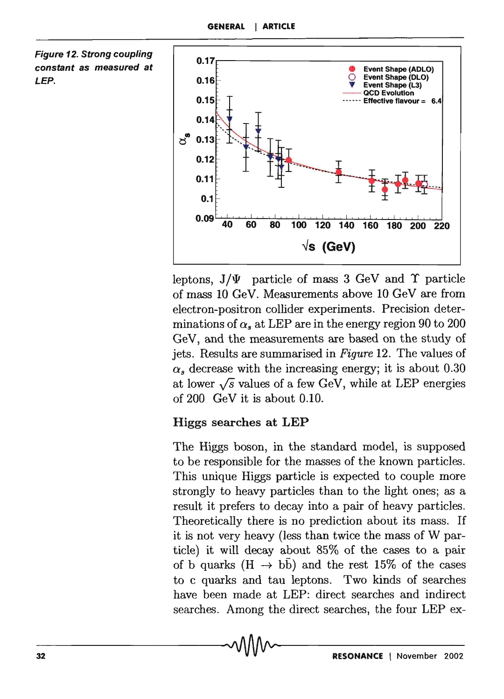



leptons,  $J/\Psi$  particle of mass 3 GeV and  $\Upsilon$  particle of *mass* 10 GeV. Measurements above 10 GeV are from electron-positron collider experiments. Precision determinations of  $\alpha_s$  at LEP are in the energy region 90 to 200 GeV, and the measurements are based on the study of jets. Results are summarised in *Figure* 12. The values of  $\alpha_s$  decrease with the increasing energy; it is about 0.30 at lower  $\sqrt{s}$  values of a few GeV, while at LEP energies of 200 GeV it is about 0.10.

### Higgs searches at LEP

The Higgs boson, in the standard model, is supposed to be responsible for the masses of the known particles. This unique Higgs particle is expected to couple more strongly to heavy particles than to the light ones; as a result it prefers to decay into a pair of heavy particles. Theoretically there is no prediction about its mass. If it is not very heavy (less than twice the mass of W particle) it will decay about 85% of the cases to a pair of b quarks  $(H \rightarrow b\bar{b})$  and the rest 15% of the cases to c quarks and tau leptons. Two kinds of searches have been made at LEP: direct searches and indirect searches. Among the direct searches, the four LEP ex-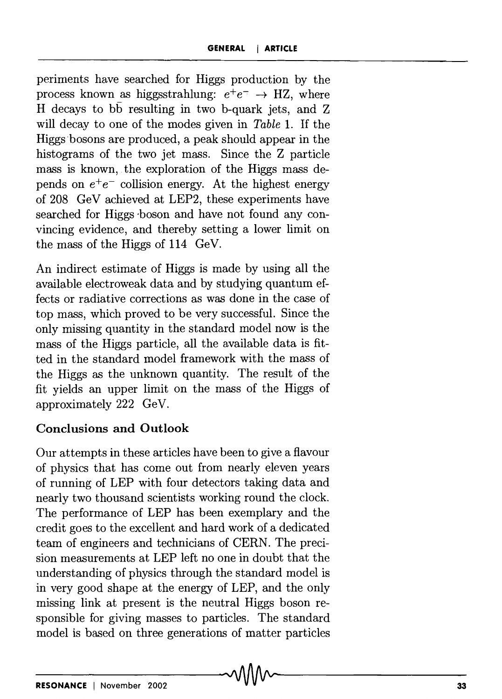periments have searched for Higgs production by the process known as higgsstrahlung:  $e^+e^- \rightarrow HZ$ , where H decays to bb resulting in two b-quark jets, and Z will decay to one of the modes given in *Table* 1. If the Higgs'bosons are produced, a peak should appear in the histograms of the two jet *mass.* Since the Z particle *mass* is known, the exploration of the Higgs *mass* depends on  $e^+e^-$  collision energy. At the highest energy of 208 GeV achieved at LEP2, these experiments have searched for Higgs boson and have not found any convincing evidence, and thereby setting a lower limit on the mass of the Higgs of 114 GeV.

An indirect estimate of Higgs is made by using all the available electroweak data and by studying quantum effects or radiative corrections as was done in the case of top *mass,* which proved to be very successful. Since the only missing quantity in the standard model now is the *mass* of the Higgs particle, all the available data is fitted in the standard model framework with the *mass* of the Higgs as the unknown quantity. The result of the fit yields an upper limit on the *mass* of the Higgs of approximately 222 GeV.

### Conclusions and Outlook

Our attempts in these articles have been to give a flavour of physics that has come out from nearly eleven years of running of LEP with four detectors taking data and nearly two thousand scientists working round the clock. The performance of LEP has been exemplary and the credit goes to the excellent and hard work of a dedicated team of engineers and technicians of CERN. The precision measurements at LEP left no one in doubt that the understanding of physics through the standard model is in very good shape at the energy of LEP, and the only missing link at present is the neutral Higgs boson responsible for giving masses to particles. The standard model is based on three generations of matter particles